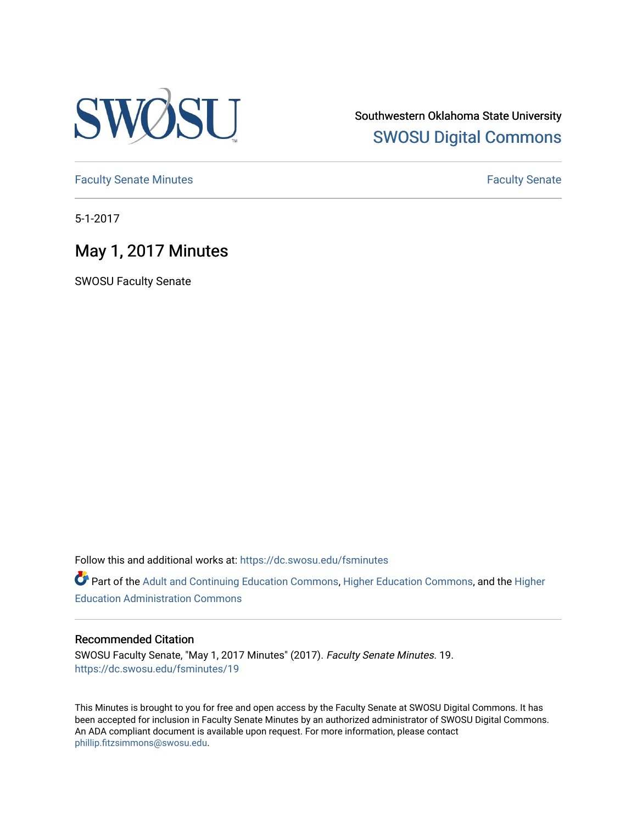

Southwestern Oklahoma State University [SWOSU Digital Commons](https://dc.swosu.edu/) 

[Faculty Senate Minutes](https://dc.swosu.edu/fsminutes) **Faculty** Senate Minutes

5-1-2017

# May 1, 2017 Minutes

SWOSU Faculty Senate

Follow this and additional works at: [https://dc.swosu.edu/fsminutes](https://dc.swosu.edu/fsminutes?utm_source=dc.swosu.edu%2Ffsminutes%2F19&utm_medium=PDF&utm_campaign=PDFCoverPages) 

Part of the [Adult and Continuing Education Commons,](http://network.bepress.com/hgg/discipline/1375?utm_source=dc.swosu.edu%2Ffsminutes%2F19&utm_medium=PDF&utm_campaign=PDFCoverPages) [Higher Education Commons,](http://network.bepress.com/hgg/discipline/1245?utm_source=dc.swosu.edu%2Ffsminutes%2F19&utm_medium=PDF&utm_campaign=PDFCoverPages) and the [Higher](http://network.bepress.com/hgg/discipline/791?utm_source=dc.swosu.edu%2Ffsminutes%2F19&utm_medium=PDF&utm_campaign=PDFCoverPages) [Education Administration Commons](http://network.bepress.com/hgg/discipline/791?utm_source=dc.swosu.edu%2Ffsminutes%2F19&utm_medium=PDF&utm_campaign=PDFCoverPages) 

#### Recommended Citation

SWOSU Faculty Senate, "May 1, 2017 Minutes" (2017). Faculty Senate Minutes. 19. [https://dc.swosu.edu/fsminutes/19](https://dc.swosu.edu/fsminutes/19?utm_source=dc.swosu.edu%2Ffsminutes%2F19&utm_medium=PDF&utm_campaign=PDFCoverPages) 

This Minutes is brought to you for free and open access by the Faculty Senate at SWOSU Digital Commons. It has been accepted for inclusion in Faculty Senate Minutes by an authorized administrator of SWOSU Digital Commons. An ADA compliant document is available upon request. For more information, please contact [phillip.fitzsimmons@swosu.edu](mailto:phillip.fitzsimmons@swosu.edu).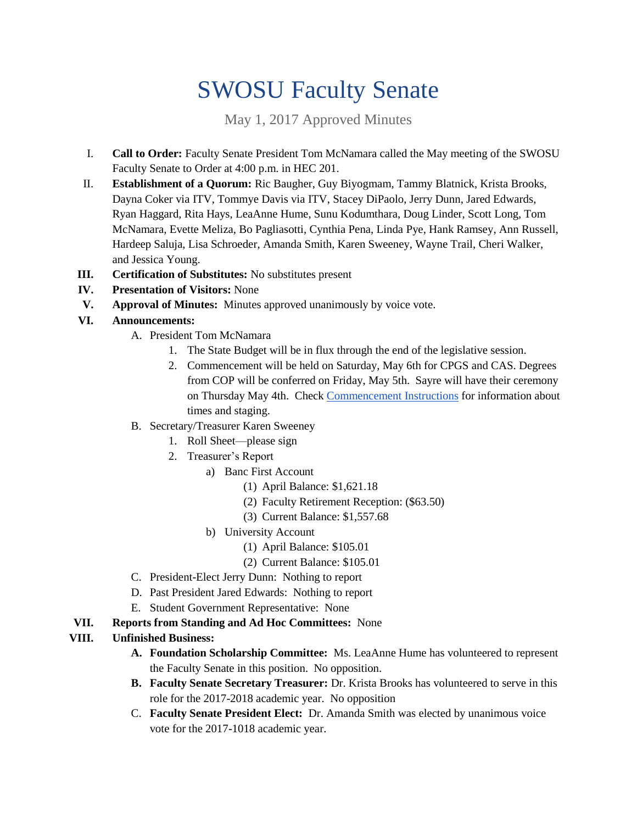# SWOSU Faculty Senate

May 1, 2017 Approved Minutes

- I. **Call to Order:** Faculty Senate President Tom McNamara called the May meeting of the SWOSU Faculty Senate to Order at 4:00 p.m. in HEC 201.
- II. **Establishment of a Quorum:** Ric Baugher, Guy Biyogmam, Tammy Blatnick, Krista Brooks, Dayna Coker via ITV, Tommye Davis via ITV, Stacey DiPaolo, Jerry Dunn, Jared Edwards, Ryan Haggard, Rita Hays, LeaAnne Hume, Sunu Kodumthara, Doug Linder, Scott Long, Tom McNamara, Evette Meliza, Bo Pagliasotti, Cynthia Pena, Linda Pye, Hank Ramsey, Ann Russell, Hardeep Saluja, Lisa Schroeder, Amanda Smith, Karen Sweeney, Wayne Trail, Cheri Walker, and Jessica Young.
- **III. Certification of Substitutes:** No substitutes present
- **IV. Presentation of Visitors:** None
- **V. Approval of Minutes:** Minutes approved unanimously by voice vote.
- **VI. Announcements:**
	- A. President Tom McNamara
		- 1. The State Budget will be in flux through the end of the legislative session.
		- 2. Commencement will be held on Saturday, May 6th for CPGS and CAS. Degrees from COP will be conferred on Friday, May 5th. Sayre will have their ceremony on Thursday May 4th. Check [Commencement Instructions](http://www.swosu.edu/commencement/) for information about times and staging.
	- B. Secretary/Treasurer Karen Sweeney
		- 1. Roll Sheet—please sign
		- 2. Treasurer's Report
			- a) Banc First Account
				- (1) April Balance: \$1,621.18
				- (2) Faculty Retirement Reception: (\$63.50)
				- (3) Current Balance: \$1,557.68
			- b) University Account
				- (1) April Balance: \$105.01
				- (2) Current Balance: \$105.01
	- C. President-Elect Jerry Dunn: Nothing to report
	- D. Past President Jared Edwards: Nothing to report
	- E. Student Government Representative: None
- **VII. Reports from Standing and Ad Hoc Committees:** None

#### **VIII. Unfinished Business:**

- **A. Foundation Scholarship Committee:** Ms. LeaAnne Hume has volunteered to represent the Faculty Senate in this position. No opposition.
- **B. Faculty Senate Secretary Treasurer:** Dr. Krista Brooks has volunteered to serve in this role for the 2017-2018 academic year. No opposition
- C. **Faculty Senate President Elect:** Dr. Amanda Smith was elected by unanimous voice vote for the 2017-1018 academic year.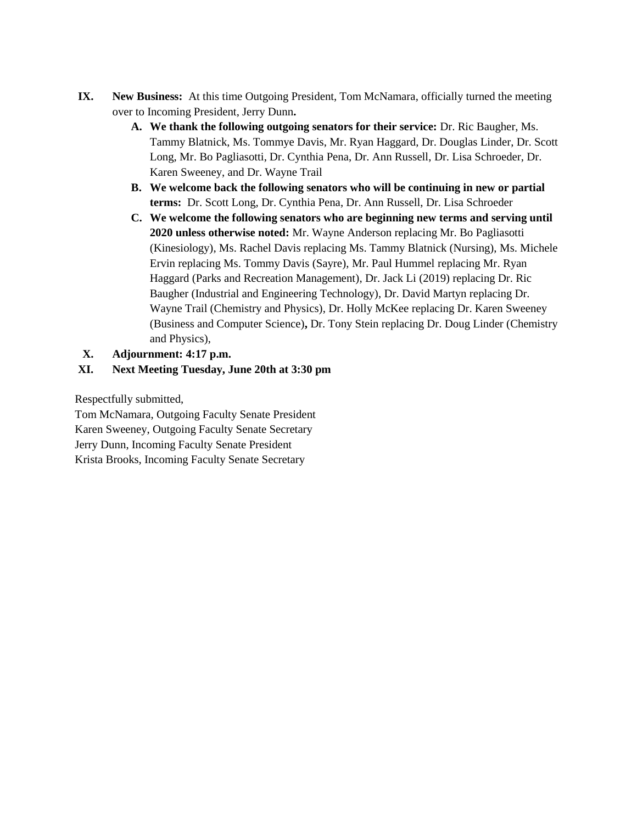- **IX. New Business:** At this time Outgoing President, Tom McNamara, officially turned the meeting over to Incoming President, Jerry Dunn**.**
	- **A. We thank the following outgoing senators for their service:** Dr. Ric Baugher, Ms. Tammy Blatnick, Ms. Tommye Davis, Mr. Ryan Haggard, Dr. Douglas Linder, Dr. Scott Long, Mr. Bo Pagliasotti, Dr. Cynthia Pena, Dr. Ann Russell, Dr. Lisa Schroeder, Dr. Karen Sweeney, and Dr. Wayne Trail
	- **B. We welcome back the following senators who will be continuing in new or partial terms:** Dr. Scott Long, Dr. Cynthia Pena, Dr. Ann Russell, Dr. Lisa Schroeder
	- **C. We welcome the following senators who are beginning new terms and serving until 2020 unless otherwise noted:** Mr. Wayne Anderson replacing Mr. Bo Pagliasotti (Kinesiology), Ms. Rachel Davis replacing Ms. Tammy Blatnick (Nursing), Ms. Michele Ervin replacing Ms. Tommy Davis (Sayre), Mr. Paul Hummel replacing Mr. Ryan Haggard (Parks and Recreation Management), Dr. Jack Li (2019) replacing Dr. Ric Baugher (Industrial and Engineering Technology), Dr. David Martyn replacing Dr. Wayne Trail (Chemistry and Physics), Dr. Holly McKee replacing Dr. Karen Sweeney (Business and Computer Science)**,** Dr. Tony Stein replacing Dr. Doug Linder (Chemistry and Physics),

## **X. Adjournment: 4:17 p.m.**

### **XI. Next Meeting Tuesday, June 20th at 3:30 pm**

Respectfully submitted,

Tom McNamara, Outgoing Faculty Senate President Karen Sweeney, Outgoing Faculty Senate Secretary Jerry Dunn, Incoming Faculty Senate President Krista Brooks, Incoming Faculty Senate Secretary